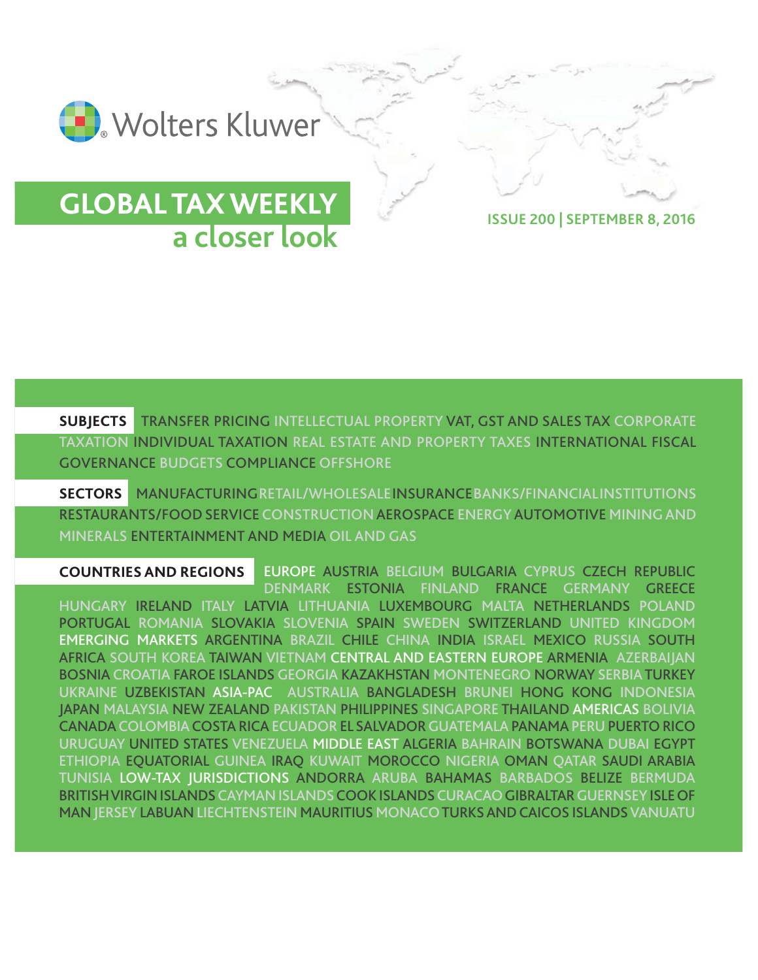

## **GLOBAL TAX WEEKLY a closer look ISSUE 200 | SEPTEMBER 8, 2016**

**SUBJECTS** TRANSFER PRICING INTELLECTUAL PROPERTY VAT, GST AND SALES TAX CORPORATE TAXATION INDIVIDUAL TAXATION REAL ESTATE AND PROPERTY TAXES INTERNATIONAL FISCAL GOVERNANCE BUDGETS COMPLIANCE OFFSHORE

**SECTORS** MANUFACTURING RETAIL/WHOLESALE INSURANCE BANKS/FINANCIALINSTITUTIONS RESTAURANTS/FOOD SERVICE CONSTRUCTION AEROSPACE ENERGY AUTOMOTIVE MINING AND MINERALS ENTERTAINMENT AND MEDIA OIL AND GAS

EUROPE AUSTRIA BELGIUM BULGARIA CYPRUS CZECH REPUBLIC DENMARK ESTONIA FINLAND FRANCE GERMANY GREECE HUNGARY IRELAND ITALY LATVIA LITHUANIA LUXEMBOURG MALTA NETHERLANDS POLAND PORTUGAL ROMANIA SLOVAKIA SLOVENIA SPAIN SWEDEN SWITZERLAND UNITED KINGDOM EMERGING MARKETS ARGENTINA BRAZIL CHILE CHINA INDIA ISRAEL MEXICO RUSSIA SOUTH AFRICA SOUTH KOREA TAIWAN VIETNAM CENTRAL AND EASTERN EUROPE ARMENIA AZERBAIJAN BOSNIA CROATIA FAROE ISLANDS GEORGIA KAZAKHSTAN MONTENEGRO NORWAY SERBIA TURKEY UKRAINE UZBEKISTAN ASIA-PAC AUSTRALIA BANGLADESH BRUNEI HONG KONG INDONESIA JAPAN MALAYSIA NEW ZEALAND PAKISTAN PHILIPPINES SINGAPORE THAILAND AMERICAS BOLIVIA CANADACOLOMBIACOSTA RICAECUADOR EL SALVADORGUATEMALAPANAMA PERUPUERTO RICO URUGUAY UNITED STATES VENEZUELA MIDDLE EAST ALGERIA BAHRAIN BOTSWANA DUBAI EGYPT ETHIOPIA EQUATORIAL GUINEA IRAQ KUWAIT MOROCCO NIGERIA OMAN QATAR SAUDI ARABIA TUNISIA LOW-TAX JURISDICTIONS ANDORRA ARUBA BAHAMAS BARBADOS BELIZE BERMUDA BRITISH VIRGIN ISLANDS CAYMAN ISLANDSCOOK ISLANDSCURACAOGIBRALTAR GUERNSEYISLE OF MAN JERSEY LABUAN LIECHTENSTEIN MAURITIUS MONACO TURKS AND CAICOS ISLANDS VANUATU **COUNTRIES AND REGIONS**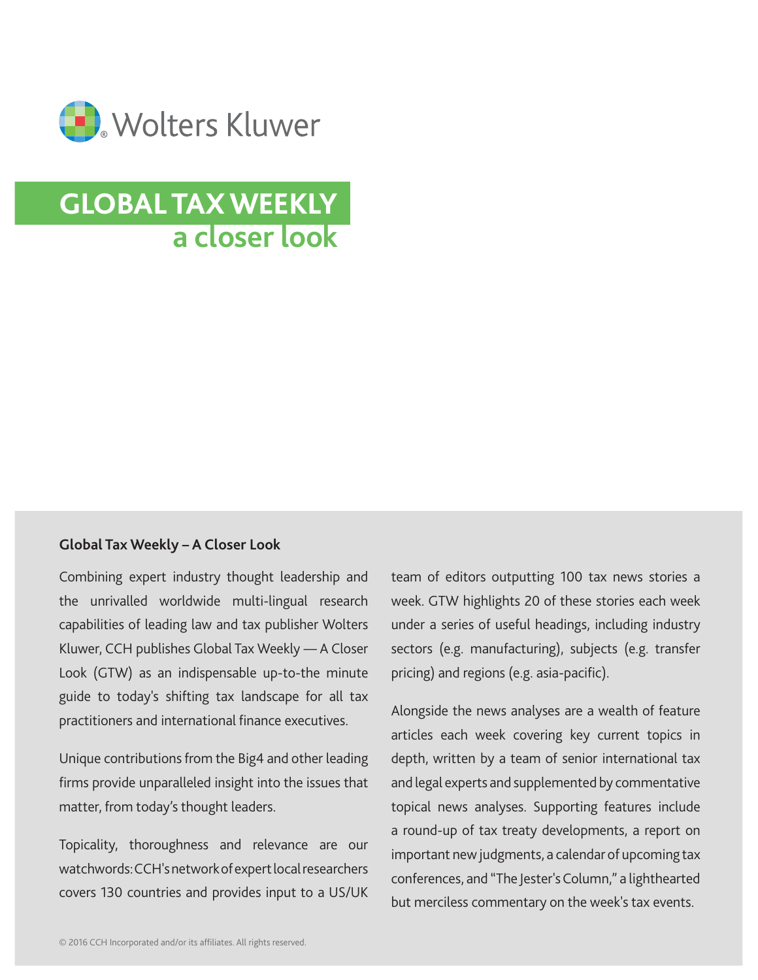

# **GLOBAL TAX WEEKLY a closer look**

#### **Global Tax Weekly – A Closer Look**

Combining expert industry thought leadership and the unrivalled worldwide multi-lingual research capabilities of leading law and tax publisher Wolters Kluwer, CCH publishes Global Tax Weekly –– A Closer Look (GTW) as an indispensable up-to-the minute guide to today's shifting tax landscape for all tax practitioners and international finance executives.

Unique contributions from the Big4 and other leading firms provide unparalleled insight into the issues that matter, from today's thought leaders.

Topicality, thoroughness and relevance are our watchwords: CCH's network of expert local researchers covers 130 countries and provides input to a US/UK team of editors outputting 100 tax news stories a week. GTW highlights 20 of these stories each week under a series of useful headings, including industry sectors (e.g. manufacturing), subjects (e.g. transfer pricing) and regions (e.g. asia-pacific).

Alongside the news analyses are a wealth of feature articles each week covering key current topics in depth, written by a team of senior international tax and legal experts and supplemented by commentative topical news analyses. Supporting features include a round-up of tax treaty developments, a report on important new judgments, a calendar of upcoming tax conferences, and "The Jester's Column," a lighthearted but merciless commentary on the week's tax events.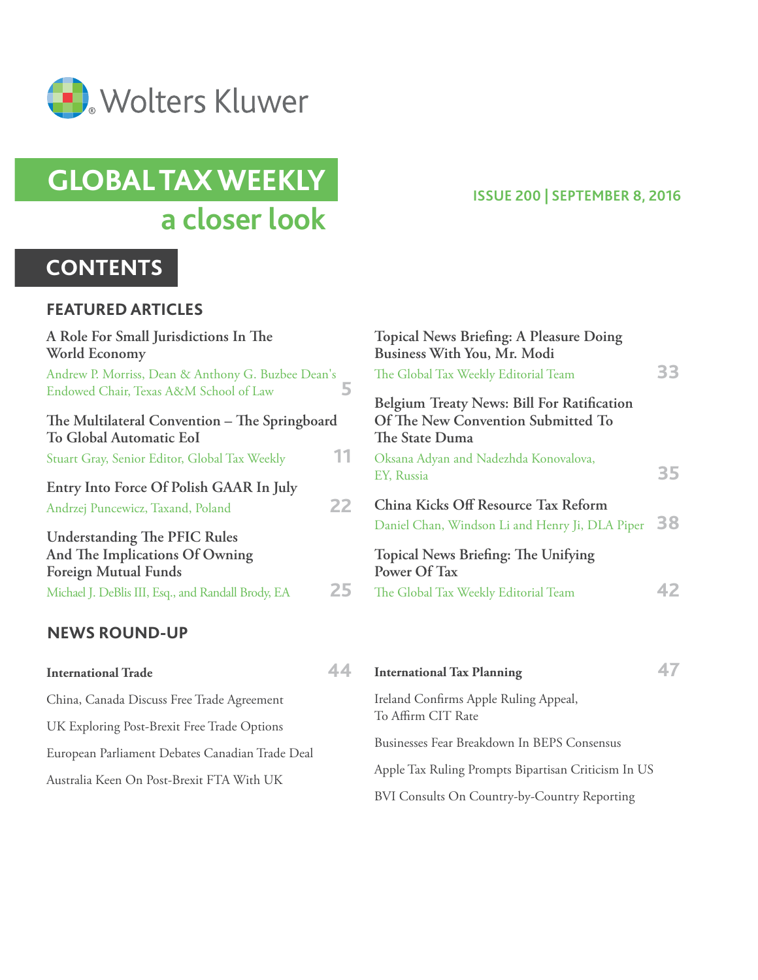

# **GLOBAL TAX WEEKLY a closer look**

### **CONTENTS**

#### **FEATURED ARTICLES**

| A Role For Small Jurisdictions In The<br>World Economy                                               |    |
|------------------------------------------------------------------------------------------------------|----|
| Andrew P. Morriss, Dean & Anthony G. Buzbee Dean's<br>Endowed Chair, Texas A&M School of Law         | 5  |
| The Multilateral Convention – The Springboard<br>To Global Automatic EoI                             |    |
| Stuart Gray, Senior Editor, Global Tax Weekly                                                        | 11 |
| Entry Into Force Of Polish GAAR In July<br>Andrzej Puncewicz, Taxand, Poland                         | 22 |
| <b>Understanding The PFIC Rules</b><br>And The Implications Of Owning<br><b>Foreign Mutual Funds</b> |    |
| Michael J. DeBlis III, Esq., and Randall Brody, EA                                                   | 25 |
| <b>NEWS ROUND-UP</b>                                                                                 |    |

#### **ISSUE 200 | SEPTEMBER 8, 2016**

| <b>Topical News Briefing: A Pleasure Doing</b><br>Business With You, Mr. Modi<br>The Global Tax Weekly Editorial Team | 33 |
|-----------------------------------------------------------------------------------------------------------------------|----|
| Belgium Treaty News: Bill For Ratification<br>Of The New Convention Submitted To<br>The State Duma                    |    |
| Oksana Adyan and Nadezhda Konovalova,<br>EY, Russia                                                                   | 35 |
| China Kicks Off Resource Tax Reform<br>Daniel Chan, Windson Li and Henry Ji, DLA Piper                                | 38 |
| Topical News Briefing: The Unifying<br>Power Of Tax<br>The Global Tax Weekly Editorial Team                           |    |
|                                                                                                                       |    |

| <b>International Trade</b>                      | 44                 | <b>International Tax Planning</b>                   |  |
|-------------------------------------------------|--------------------|-----------------------------------------------------|--|
| China, Canada Discuss Free Trade Agreement      |                    | Ireland Confirms Apple Ruling Appeal,               |  |
| UK Exploring Post-Brexit Free Trade Options     | To Affirm CIT Rate |                                                     |  |
| European Parliament Debates Canadian Trade Deal |                    | Businesses Fear Breakdown In BEPS Consensus         |  |
| Australia Keen On Post-Brexit FTA With UK       |                    | Apple Tax Ruling Prompts Bipartisan Criticism In US |  |
|                                                 |                    | BVI Consults On Country-by-Country Reporting        |  |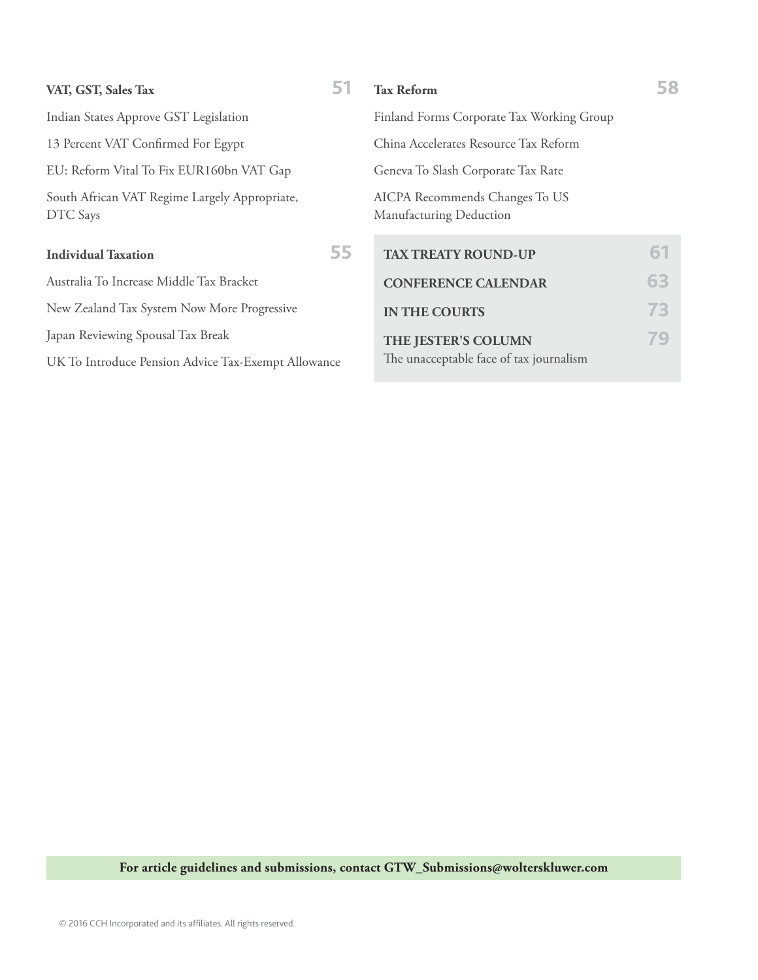| VAT, GST, Sales Tax                                       | 51 | <b>Tax Reform</b>                                         | 58 |
|-----------------------------------------------------------|----|-----------------------------------------------------------|----|
| Indian States Approve GST Legislation                     |    | Finland Forms Corporate Tax Working Group                 |    |
| 13 Percent VAT Confirmed For Egypt                        |    | China Accelerates Resource Tax Reform                     |    |
| EU: Reform Vital To Fix EUR160bn VAT Gap                  |    | Geneva To Slash Corporate Tax Rate                        |    |
| South African VAT Regime Largely Appropriate,<br>DTC Says |    | AICPA Recommends Changes To US<br>Manufacturing Deduction |    |
| <b>Individual Taxation</b>                                | 55 | <b>TAX TREATY ROUND-UP</b>                                | 61 |
| Australia To Increase Middle Tax Bracket                  |    | <b>CONFERENCE CALENDAR</b>                                | 63 |
| New Zealand Tax System Now More Progressive               |    | <b>IN THE COURTS</b>                                      | 73 |
| Japan Reviewing Spousal Tax Break                         |    | THE JESTER'S COLUMN                                       | 79 |
| UK To Introduce Pension Advice Tax-Exempt Allowance       |    | The unacceptable face of tax journalism                   |    |
|                                                           |    |                                                           |    |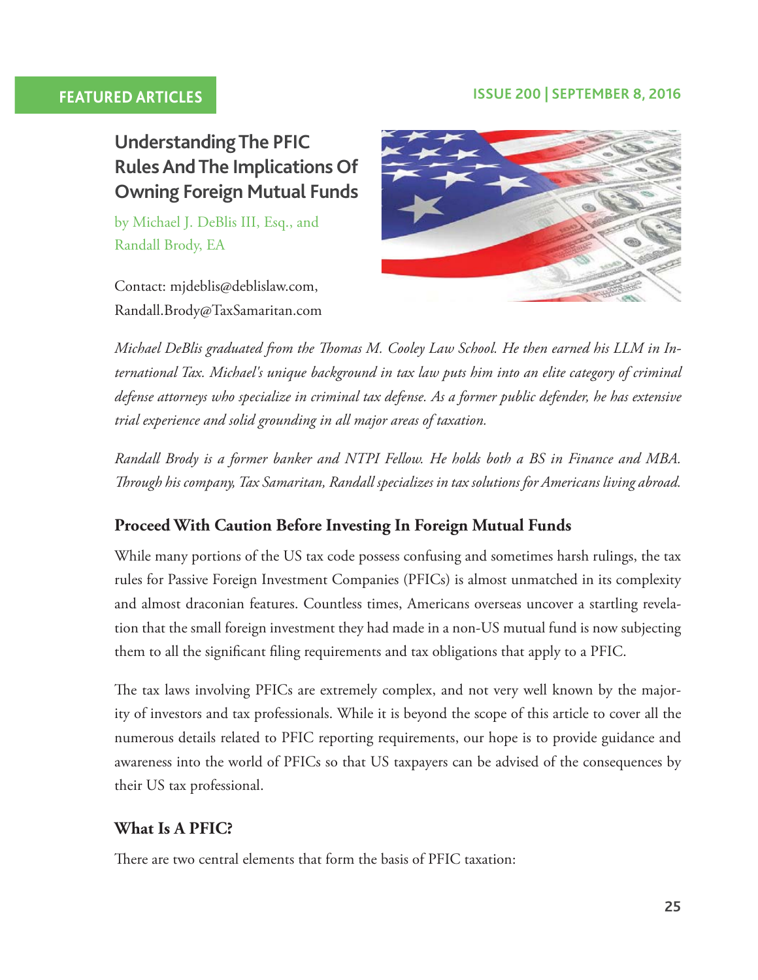#### **FEATURED ARTICLES ISSUE 200 | SEPTEMBER 8, 2016**

**Understanding The PFIC Rules And The Implications Of Owning Foreign Mutual Funds**

by Michael J. DeBlis III, Esq., and Randall Brody, EA

Contact: mjdeblis@deblislaw.com, Randall.Brody@TaxSamaritan.com



*Michael DeBlis graduated from the Tomas M. Cooley Law School. He then earned his LLM in International Tax. Michael's unique background in tax law puts him into an elite category of criminal defense attorneys who specialize in criminal tax defense. As a former public defender, he has extensive trial experience and solid grounding in all major areas of taxation.*

*Randall Brody is a former banker and NTPI Fellow. He holds both a BS in Finance and MBA. Trough his company, Tax Samaritan, Randall specializes in tax solutions for Americans living abroad.*

#### **Proceed With Caution Before Investing In Foreign Mutual Funds**

While many portions of the US tax code possess confusing and sometimes harsh rulings, the tax rules for Passive Foreign Investment Companies (PFICs) is almost unmatched in its complexity and almost draconian features. Countless times, Americans overseas uncover a startling revelation that the small foreign investment they had made in a non-US mutual fund is now subjecting them to all the signifcant fling requirements and tax obligations that apply to a PFIC.

The tax laws involving PFICs are extremely complex, and not very well known by the majority of investors and tax professionals. While it is beyond the scope of this article to cover all the numerous details related to PFIC reporting requirements, our hope is to provide guidance and awareness into the world of PFICs so that US taxpayers can be advised of the consequences by their US tax professional.

#### **What Is A PFIC?**

There are two central elements that form the basis of PFIC taxation: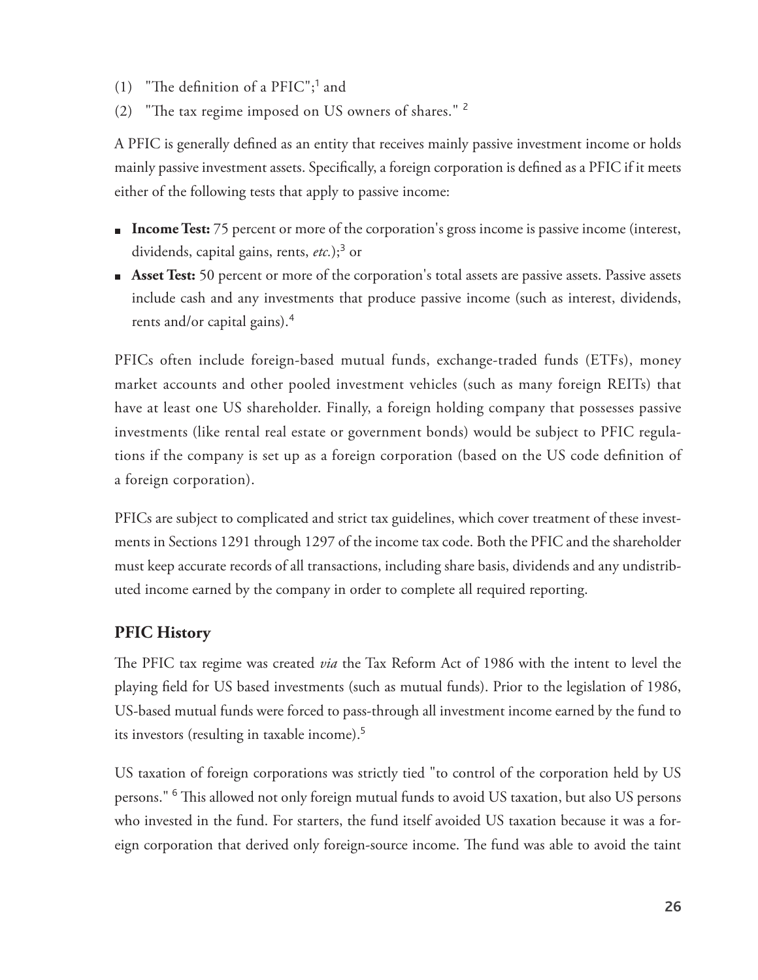- (1) "The definition of a  $PFIC"$ ;<sup>1</sup> and
- (2) "The tax regime imposed on US owners of shares."  $2$

A PFIC is generally defned as an entity that receives mainly passive investment income or holds mainly passive investment assets. Specifcally, a foreign corporation is defned as a PFIC if it meets either of the following tests that apply to passive income:

- **Income Test:** 75 percent or more of the corporation's gross income is passive income (interest, dividends, capital gains, rents, etc.);<sup>3</sup> or
- **Asset Test:** 50 percent or more of the corporation's total assets are passive assets. Passive assets include cash and any investments that produce passive income (such as interest, dividends, rents and/or capital gains).<sup>4</sup>

PFICs often include foreign-based mutual funds, exchange-traded funds (ETFs), money market accounts and other pooled investment vehicles (such as many foreign REITs) that have at least one US shareholder. Finally, a foreign holding company that possesses passive investments (like rental real estate or government bonds) would be subject to PFIC regulations if the company is set up as a foreign corporation (based on the US code defnition of a foreign corporation).

PFICs are subject to complicated and strict tax guidelines, which cover treatment of these investments in Sections 1291 through 1297 of the income tax code. Both the PFIC and the shareholder must keep accurate records of all transactions, including share basis, dividends and any undistributed income earned by the company in order to complete all required reporting.

### **PFIC History**

The PFIC tax regime was created *via* the Tax Reform Act of 1986 with the intent to level the playing feld for US based investments (such as mutual funds). Prior to the legislation of 1986, US-based mutual funds were forced to pass-through all investment income earned by the fund to its investors (resulting in taxable income).<sup>5</sup>

US taxation of foreign corporations was strictly tied "to control of the corporation held by US persons." <sup>6</sup> This allowed not only foreign mutual funds to avoid US taxation, but also US persons who invested in the fund. For starters, the fund itself avoided US taxation because it was a foreign corporation that derived only foreign-source income. The fund was able to avoid the taint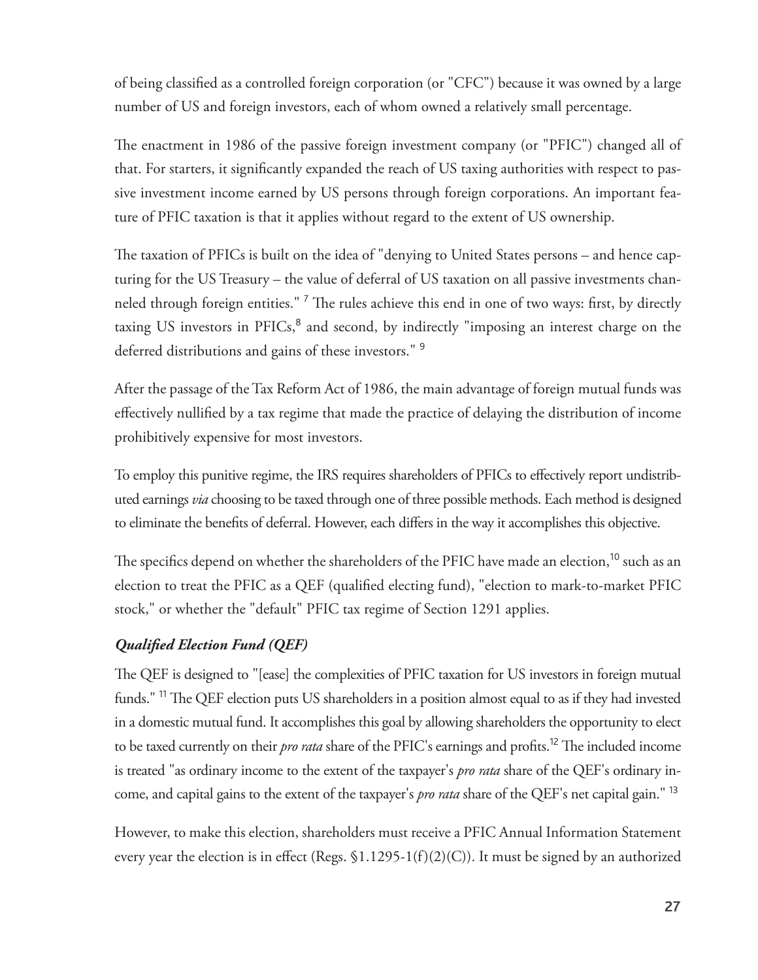of being classifed as a controlled foreign corporation (or "CFC") because it was owned by a large number of US and foreign investors, each of whom owned a relatively small percentage.

The enactment in 1986 of the passive foreign investment company (or "PFIC") changed all of that. For starters, it signifcantly expanded the reach of US taxing authorities with respect to passive investment income earned by US persons through foreign corporations. An important feature of PFIC taxation is that it applies without regard to the extent of US ownership.

The taxation of PFICs is built on the idea of "denying to United States persons – and hence capturing for the US Treasury – the value of deferral of US taxation on all passive investments channeled through foreign entities." <sup>7</sup> The rules achieve this end in one of two ways: first, by directly taxing US investors in PFICs,<sup>8</sup> and second, by indirectly "imposing an interest charge on the deferred distributions and gains of these investors."<sup>9</sup>

After the passage of the Tax Reform Act of 1986, the main advantage of foreign mutual funds was efectively nullifed by a tax regime that made the practice of delaying the distribution of income prohibitively expensive for most investors.

To employ this punitive regime, the IRS requires shareholders of PFICs to efectively report undistributed earnings *via* choosing to be taxed through one of three possible methods. Each method is designed to eliminate the benefts of deferral. However, each difers in the way it accomplishes this objective.

The specifics depend on whether the shareholders of the PFIC have made an election,<sup>10</sup> such as an election to treat the PFIC as a QEF (qualifed electing fund), "election to mark-to-market PFIC stock," or whether the "default" PFIC tax regime of Section 1291 applies.

#### *Qualifed Election Fund (QEF)*

The QEF is designed to "[ease] the complexities of PFIC taxation for US investors in foreign mutual funds." <sup>11</sup> The QEF election puts US shareholders in a position almost equal to as if they had invested in a domestic mutual fund. It accomplishes this goal by allowing shareholders the opportunity to elect to be taxed currently on their *pro rata* share of the PFIC's earnings and profits.<sup>12</sup> The included income is treated "as ordinary income to the extent of the taxpayer's *pro rata* share of the QEF's ordinary income, and capital gains to the extent of the taxpayer's *pro rata* share of the QEF's net capital gain." <sup>13</sup>

However, to make this election, shareholders must receive a PFIC Annual Information Statement every year the election is in effect (Regs.  $$1.1295-1(f)(2)(C)$ ). It must be signed by an authorized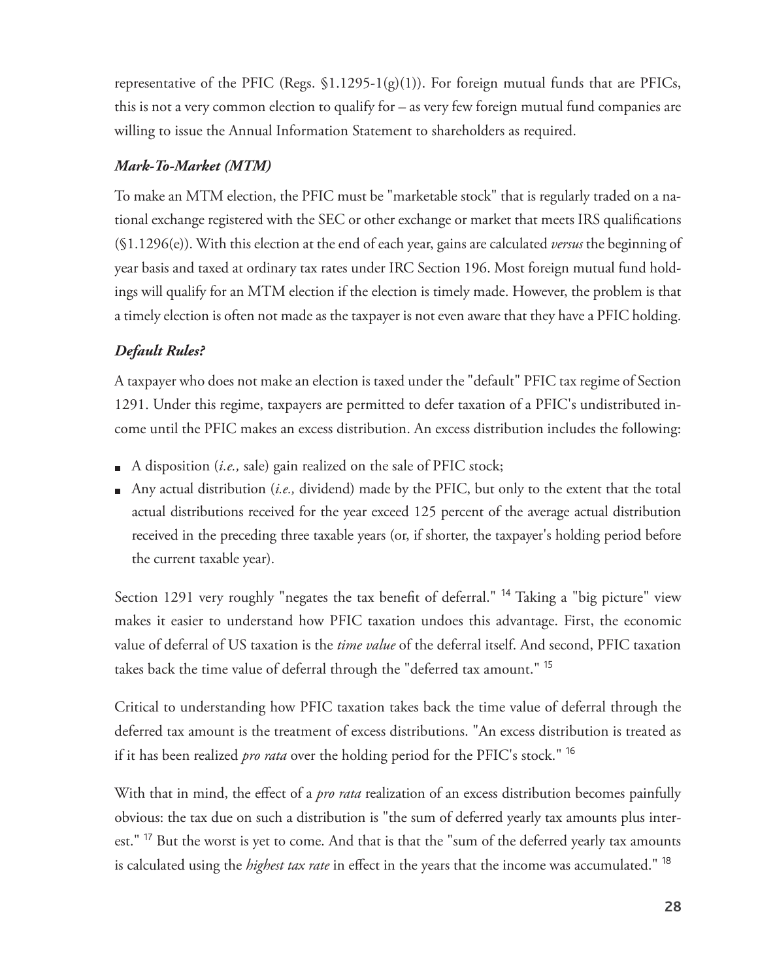representative of the PFIC (Regs.  $$1.1295-1(g)(1)$ ). For foreign mutual funds that are PFICs, this is not a very common election to qualify for – as very few foreign mutual fund companies are willing to issue the Annual Information Statement to shareholders as required.

#### *Mark-To-Market (MTM)*

To make an MTM election, the PFIC must be "marketable stock" that is regularly traded on a national exchange registered with the SEC or other exchange or market that meets IRS qualifcations (§1.1296(e)). With this election at the end of each year, gains are calculated *versus* the beginning of year basis and taxed at ordinary tax rates under IRC Section 196. Most foreign mutual fund holdings will qualify for an MTM election if the election is timely made. However, the problem is that a timely election is often not made as the taxpayer is not even aware that they have a PFIC holding.

#### *Default Rules?*

A taxpayer who does not make an election is taxed under the "default" PFIC tax regime of Section 1291. Under this regime, taxpayers are permitted to defer taxation of a PFIC's undistributed income until the PFIC makes an excess distribution. An excess distribution includes the following:

- A disposition (*i.e.*, sale) gain realized on the sale of PFIC stock;
- Any actual distribution (*i.e.,* dividend) made by the PFIC, but only to the extent that the total actual distributions received for the year exceed 125 percent of the average actual distribution received in the preceding three taxable years (or, if shorter, the taxpayer's holding period before the current taxable year).

Section 1291 very roughly "negates the tax benefit of deferral." <sup>14</sup> Taking a "big picture" view makes it easier to understand how PFIC taxation undoes this advantage. First, the economic value of deferral of US taxation is the *time value* of the deferral itself. And second, PFIC taxation takes back the time value of deferral through the "deferred tax amount." <sup>15</sup>

Critical to understanding how PFIC taxation takes back the time value of deferral through the deferred tax amount is the treatment of excess distributions. "An excess distribution is treated as if it has been realized *pro rata* over the holding period for the PFIC's stock." <sup>16</sup>

With that in mind, the efect of a *pro rata* realization of an excess distribution becomes painfully obvious: the tax due on such a distribution is "the sum of deferred yearly tax amounts plus interest."<sup>17</sup> But the worst is yet to come. And that is that the "sum of the deferred yearly tax amounts is calculated using the *highest tax rate* in effect in the years that the income was accumulated." <sup>18</sup>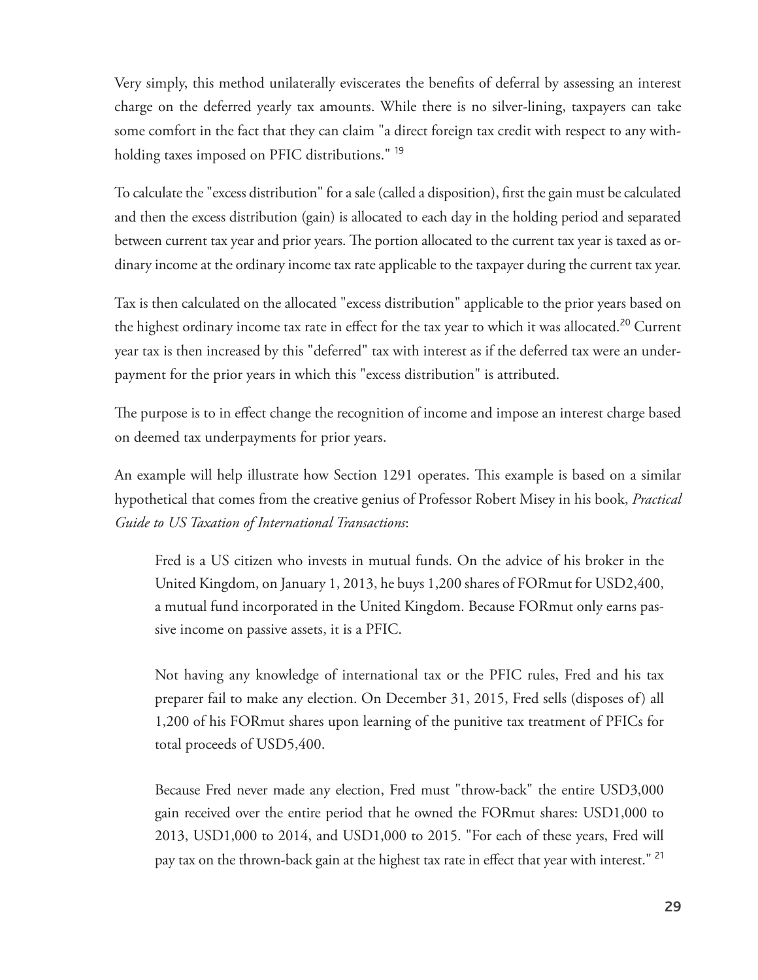Very simply, this method unilaterally eviscerates the benefts of deferral by assessing an interest charge on the deferred yearly tax amounts. While there is no silver-lining, taxpayers can take some comfort in the fact that they can claim "a direct foreign tax credit with respect to any withholding taxes imposed on PFIC distributions."<sup>19</sup>

To calculate the "excess distribution" for a sale (called a disposition), frst the gain must be calculated and then the excess distribution (gain) is allocated to each day in the holding period and separated between current tax year and prior years. The portion allocated to the current tax year is taxed as ordinary income at the ordinary income tax rate applicable to the taxpayer during the current tax year.

Tax is then calculated on the allocated "excess distribution" applicable to the prior years based on the highest ordinary income tax rate in effect for the tax year to which it was allocated.<sup>20</sup> Current year tax is then increased by this "deferred" tax with interest as if the deferred tax were an underpayment for the prior years in which this "excess distribution" is attributed.

The purpose is to in effect change the recognition of income and impose an interest charge based on deemed tax underpayments for prior years.

An example will help illustrate how Section 1291 operates. This example is based on a similar hypothetical that comes from the creative genius of Professor Robert Misey in his book, *Practical Guide to US Taxation of International Transactions*:

Fred is a US citizen who invests in mutual funds. On the advice of his broker in the United Kingdom, on January 1, 2013, he buys 1,200 shares of FORmut for USD2,400, a mutual fund incorporated in the United Kingdom. Because FORmut only earns passive income on passive assets, it is a PFIC.

Not having any knowledge of international tax or the PFIC rules, Fred and his tax preparer fail to make any election. On December 31, 2015, Fred sells (disposes of) all 1,200 of his FORmut shares upon learning of the punitive tax treatment of PFICs for total proceeds of USD5,400.

Because Fred never made any election, Fred must "throw-back" the entire USD3,000 gain received over the entire period that he owned the FORmut shares: USD1,000 to 2013, USD1,000 to 2014, and USD1,000 to 2015. "For each of these years, Fred will pay tax on the thrown-back gain at the highest tax rate in effect that year with interest."<sup>21</sup>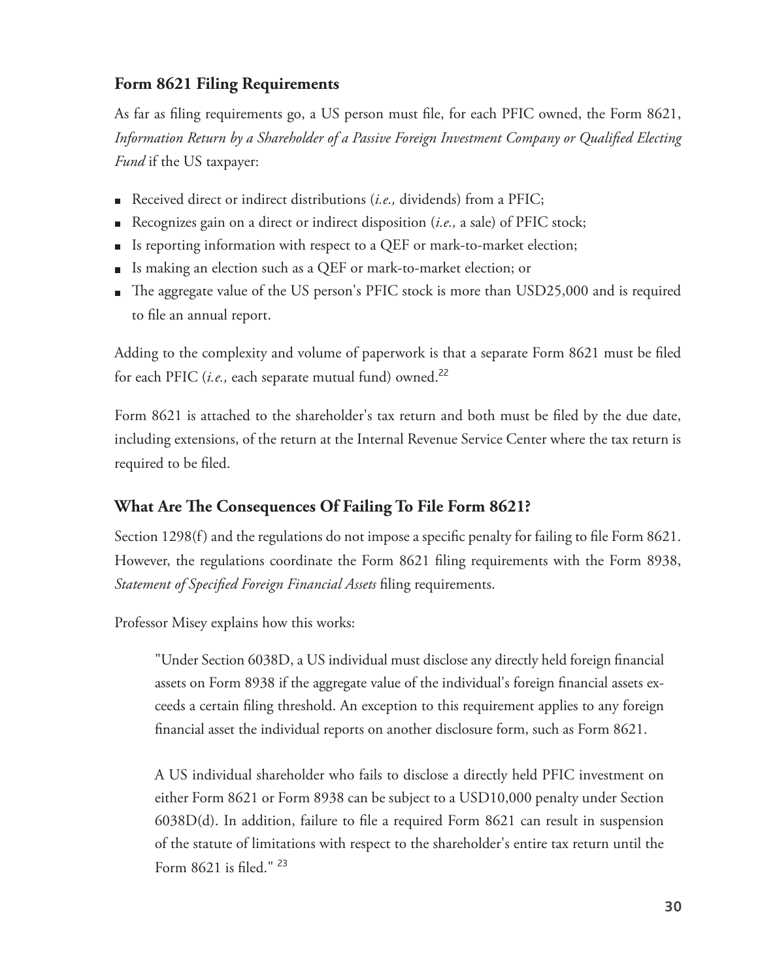#### **Form 8621 Filing Requirements**

As far as fling requirements go, a US person must fle, for each PFIC owned, the Form 8621, *Information Return by a Shareholder of a Passive Foreign Investment Company or Qualifed Electing Fund* if the US taxpayer:

- Received direct or indirect distributions (*i.e.*, dividends) from a PFIC;
- Recognizes gain on a direct or indirect disposition (*i.e.,* a sale) of PFIC stock;
- Is reporting information with respect to a QEF or mark-to-market election;  $\blacksquare$
- Is making an election such as a QEF or mark-to-market election; or
- The aggregate value of the US person's PFIC stock is more than USD25,000 and is required to fle an annual report.

Adding to the complexity and volume of paperwork is that a separate Form 8621 must be fled for each PFIC (*i.e.,* each separate mutual fund) owned.<sup>22</sup>

Form 8621 is attached to the shareholder's tax return and both must be fled by the due date, including extensions, of the return at the Internal Revenue Service Center where the tax return is required to be fled.

#### **What Are Te Consequences Of Failing To File Form 8621?**

Section 1298(f) and the regulations do not impose a specific penalty for failing to file Form 8621. However, the regulations coordinate the Form 8621 fling requirements with the Form 8938, *Statement of Specifed Foreign Financial Assets* fling requirements.

Professor Misey explains how this works:

"Under Section 6038D, a US individual must disclose any directly held foreign fnancial assets on Form 8938 if the aggregate value of the individual's foreign fnancial assets exceeds a certain fling threshold. An exception to this requirement applies to any foreign fnancial asset the individual reports on another disclosure form, such as Form 8621.

A US individual shareholder who fails to disclose a directly held PFIC investment on either Form 8621 or Form 8938 can be subject to a USD10,000 penalty under Section 6038D(d). In addition, failure to fle a required Form 8621 can result in suspension of the statute of limitations with respect to the shareholder's entire tax return until the Form 8621 is fled." <sup>23</sup>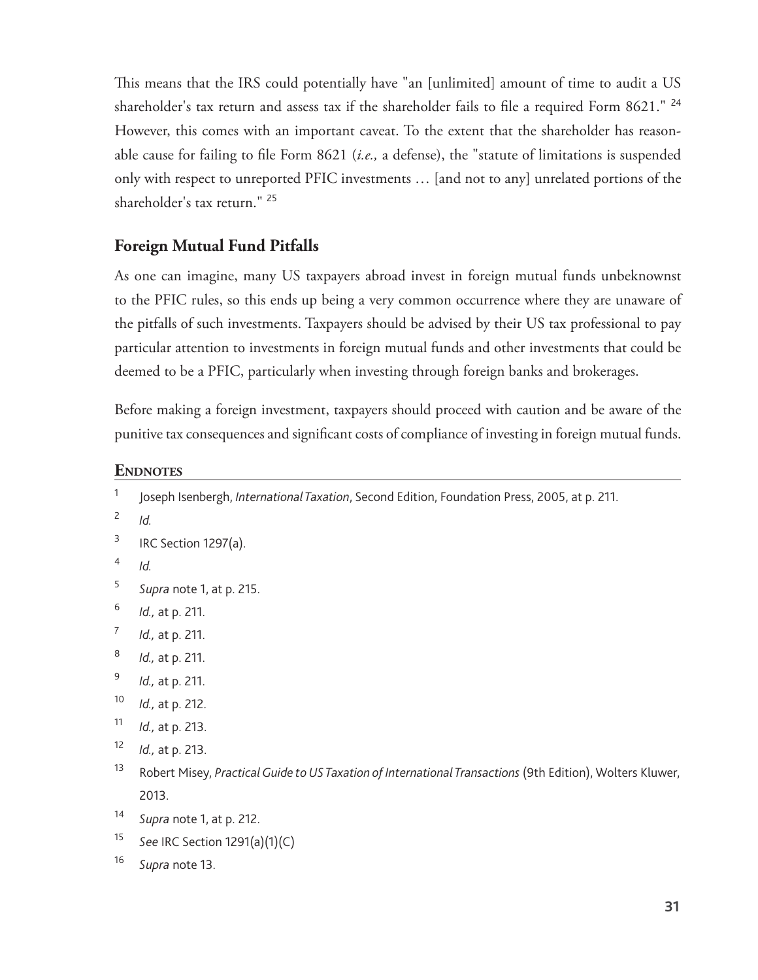This means that the IRS could potentially have "an [unlimited] amount of time to audit a US shareholder's tax return and assess tax if the shareholder fails to fle a required Form 8621." <sup>24</sup> However, this comes with an important caveat. To the extent that the shareholder has reasonable cause for failing to fle Form 8621 (*i.e.,* a defense), the "statute of limitations is suspended only with respect to unreported PFIC investments … [and not to any] unrelated portions of the shareholder's tax return." <sup>25</sup>

#### **Foreign Mutual Fund Pitfalls**

As one can imagine, many US taxpayers abroad invest in foreign mutual funds unbeknownst to the PFIC rules, so this ends up being a very common occurrence where they are unaware of the pitfalls of such investments. Taxpayers should be advised by their US tax professional to pay particular attention to investments in foreign mutual funds and other investments that could be deemed to be a PFIC, particularly when investing through foreign banks and brokerages.

Before making a foreign investment, taxpayers should proceed with caution and be aware of the punitive tax consequences and signifcant costs of compliance of investing in foreign mutual funds.

#### **ENDNOTES**

| $\mathbf{1}$             | Joseph Isenbergh, International Taxation, Second Edition, Foundation Press, 2005, at p. 211.              |
|--------------------------|-----------------------------------------------------------------------------------------------------------|
| $\overline{\mathcal{L}}$ | Id.                                                                                                       |
| 3                        | IRC Section 1297(a).                                                                                      |
| 4                        | Id.                                                                                                       |
| 5                        | Supra note 1, at p. 215.                                                                                  |
| $\boldsymbol{6}$         | Id., at p. 211.                                                                                           |
| $\boldsymbol{7}$         | Id., at p. 211.                                                                                           |
| 8                        | Id., at p. 211.                                                                                           |
| 9                        | Id., at p. 211.                                                                                           |
| $10$                     | Id., at p. 212.                                                                                           |
| 11                       | Id., at p. 213.                                                                                           |
| 12                       | Id., at p. 213.                                                                                           |
| 13                       | Robert Misey, Practical Guide to US Taxation of International Transactions (9th Edition), Wolters Kluwer, |
|                          | 2013.                                                                                                     |
| 14                       | Supra note 1, at p. 212.                                                                                  |
| 15                       | See IRC Section 1291(a)(1)(C)                                                                             |
| 16                       | Supra note 13.                                                                                            |
|                          |                                                                                                           |